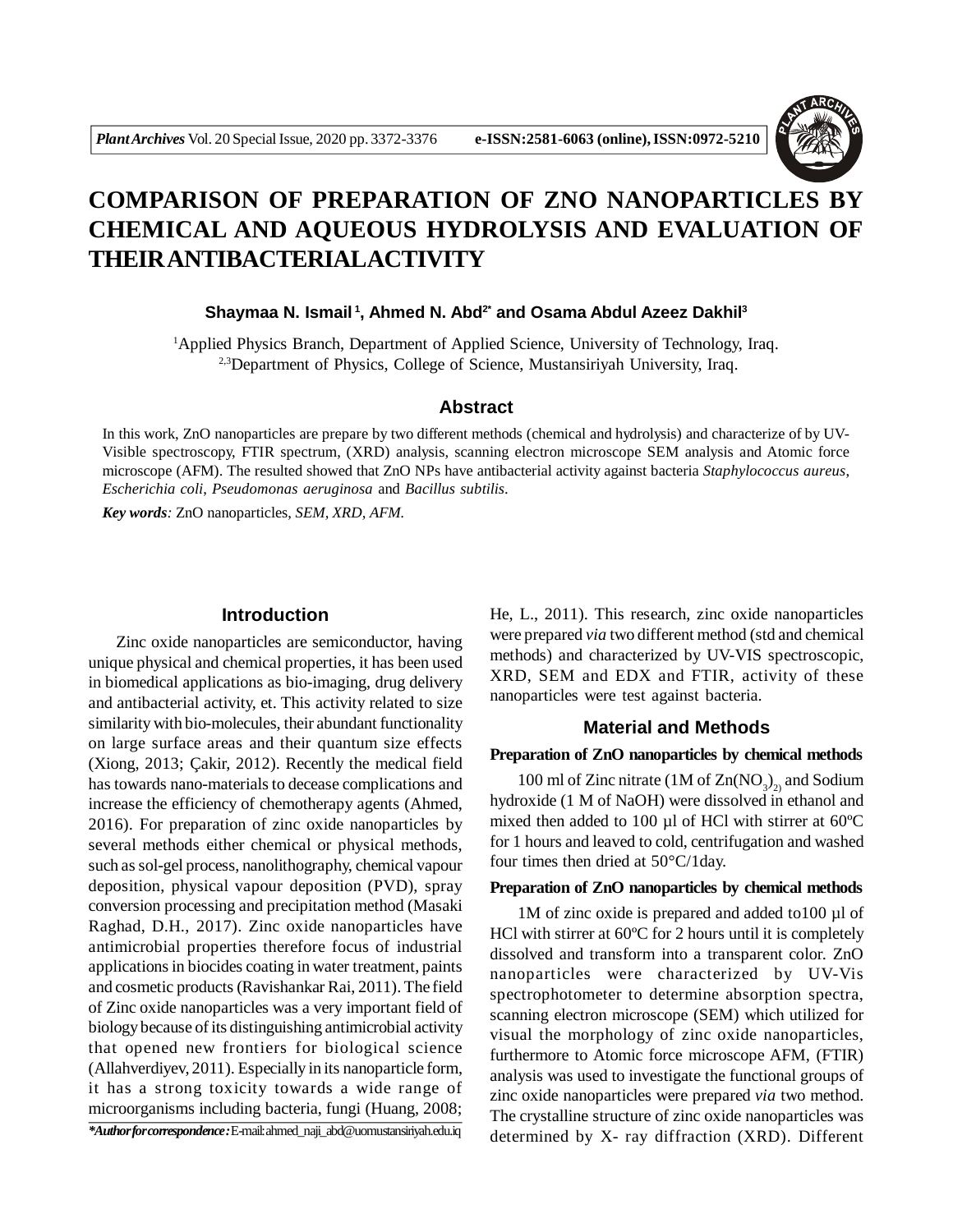

# **COMPARISON OF PREPARATION OF ZNO NANOPARTICLES BY CHEMICAL AND AQUEOUS HYDROLYSIS AND EVALUATION OF THEIR ANTIBACTERIALACTIVITY**

**Shaymaa N. Ismail<sup>1</sup>, Ahmed N. Abd2\* and Osama Abdul Azeez Dakhil<sup>3</sup>**

<sup>1</sup>Applied Physics Branch, Department of Applied Science, University of Technology, Iraq. <sup>2,3</sup>Department of Physics, College of Science, Mustansiriyah University, Iraq.

### **Abstract**

In this work, ZnO nanoparticles are prepare by two different methods (chemical and hydrolysis) and characterize of by UV-Visible spectroscopy, FTIR spectrum, (XRD) analysis, scanning electron microscope SEM analysis and Atomic force microscope (AFM). The resulted showed that ZnO NPs have antibacterial activity against bacteria *Staphylococcus aureus*, *Escherichia coli*, *Pseudomonas aeruginosa* and *Bacillus subtilis*.

*Key words:* ZnO nanoparticles, *SEM, XRD, AFM.*

## **Introduction**

Zinc oxide nanoparticles are semiconductor, having unique physical and chemical properties, it has been used in biomedical applications as bio-imaging, drug delivery and antibacterial activity, et. This activity related to size similarity with bio-molecules, their abundant functionality on large surface areas and their quantum size effects (Xiong, 2013; Çakir, 2012). Recently the medical field has towards nano-materials to decease complications and increase the efficiency of chemotherapy agents (Ahmed, 2016). For preparation of zinc oxide nanoparticles by several methods either chemical or physical methods, such as sol-gel process, nanolithography, chemical vapour deposition, physical vapour deposition (PVD), spray conversion processing and precipitation method (Masaki Raghad, D.H., 2017). Zinc oxide nanoparticles have antimicrobial properties therefore focus of industrial applications in biocides coating in water treatment, paints and cosmetic products (Ravishankar Rai, 2011). The field of Zinc oxide nanoparticles was a very important field of biology because of its distinguishing antimicrobial activity that opened new frontiers for biological science (Allahverdiyev, 2011). Especially in its nanoparticle form, it has a strong toxicity towards a wide range of microorganisms including bacteria, fungi (Huang, 2008; *\*Author for correspondence :* E-mail: ahmed\_naji\_abd@uomustansiriyah.edu.iq He, L., 2011). This research, zinc oxide nanoparticles were prepared *via* two different method (std and chemical methods) and characterized by UV-VIS spectroscopic, XRD, SEM and EDX and FTIR, activity of these nanoparticles were test against bacteria.

## **Material and Methods**

## **Preparation of ZnO nanoparticles by chemical methods**

100 ml of Zinc nitrate (1M of  $\text{Zn}(\text{NO}_3)_{2)}$  and Sodium hydroxide (1 M of NaOH) were dissolved in ethanol and mixed then added to 100 µl of HCl with stirrer at 60ºC for 1 hours and leaved to cold, centrifugation and washed four times then dried at 50°C/1day.

#### **Preparation of ZnO nanoparticles by chemical methods**

1M of zinc oxide is prepared and added to100 µl of HCl with stirrer at 60ºC for 2 hours until it is completely dissolved and transform into a transparent color. ZnO nanoparticles were characterized by UV-Vis spectrophotometer to determine absorption spectra, scanning electron microscope (SEM) which utilized for visual the morphology of zinc oxide nanoparticles, furthermore to Atomic force microscope AFM, (FTIR) analysis was used to investigate the functional groups of zinc oxide nanoparticles were prepared *via* two method. The crystalline structure of zinc oxide nanoparticles was determined by X- ray diffraction (XRD). Different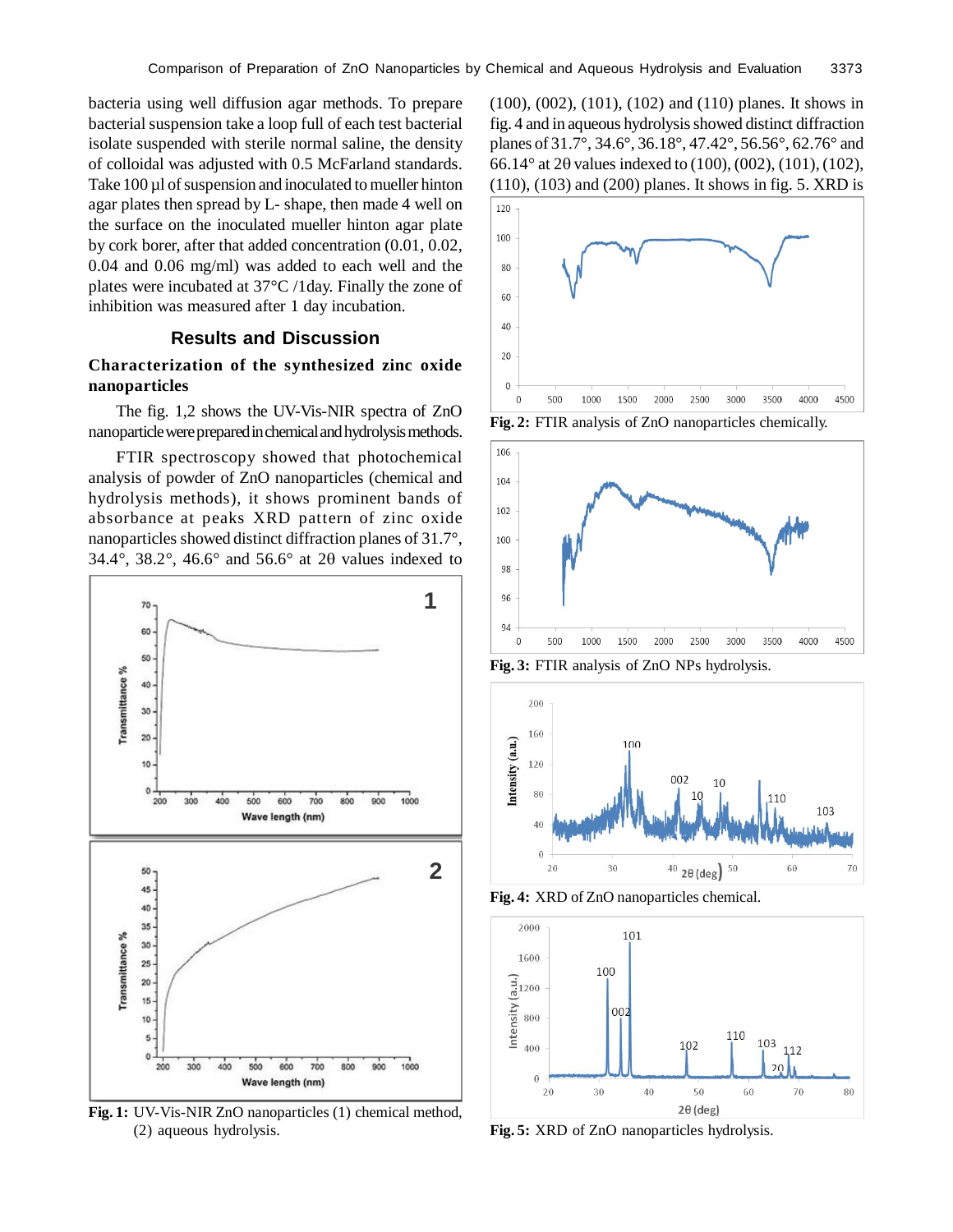bacteria using well diffusion agar methods. To prepare bacterial suspension take a loop full of each test bacterial isolate suspended with sterile normal saline, the density of colloidal was adjusted with 0.5 McFarland standards. Take 100 µl of suspension and inoculated to mueller hinton agar plates then spread by L- shape, then made 4 well on the surface on the inoculated mueller hinton agar plate by cork borer, after that added concentration (0.01, 0.02, 0.04 and 0.06 mg/ml) was added to each well and the plates were incubated at 37°C /1day. Finally the zone of inhibition was measured after 1 day incubation.

# **Results and Discussion**

# **Characterization of the synthesized zinc oxide nanoparticles**

The fig. 1,2 shows the UV-Vis-NIR spectra of ZnO nanoparticle were prepared in chemical and hydrolysis methods.

FTIR spectroscopy showed that photochemical analysis of powder of ZnO nanoparticles (chemical and hydrolysis methods), it shows prominent bands of absorbance at peaks XRD pattern of zinc oxide nanoparticles showed distinct diffraction planes of 31.7°, 34.4°, 38.2°, 46.6° and 56.6° at 2 $\theta$  values indexed to



**Fig. 1:** UV-Vis-NIR ZnO nanoparticles (1) chemical method, (2) aqueous hydrolysis.

(100), (002), (101), (102) and (110) planes. It shows in fig. 4 and in aqueous hydrolysis showed distinct diffraction planes of 31.7°, 34.6°, 36.18°, 47.42°, 56.56°, 62.76° and 66.14 $^{\circ}$  at 2 $\theta$  values indexed to (100), (002), (101), (102), (110), (103) and (200) planes. It shows in fig. 5. XRD is



**Fig. 2:** FTIR analysis of ZnO nanoparticles chemically.



**Fig. 3:** FTIR analysis of ZnO NPs hydrolysis.



**Fig. 4:** XRD of ZnO nanoparticles chemical.



**Fig. 5:** XRD of ZnO nanoparticles hydrolysis.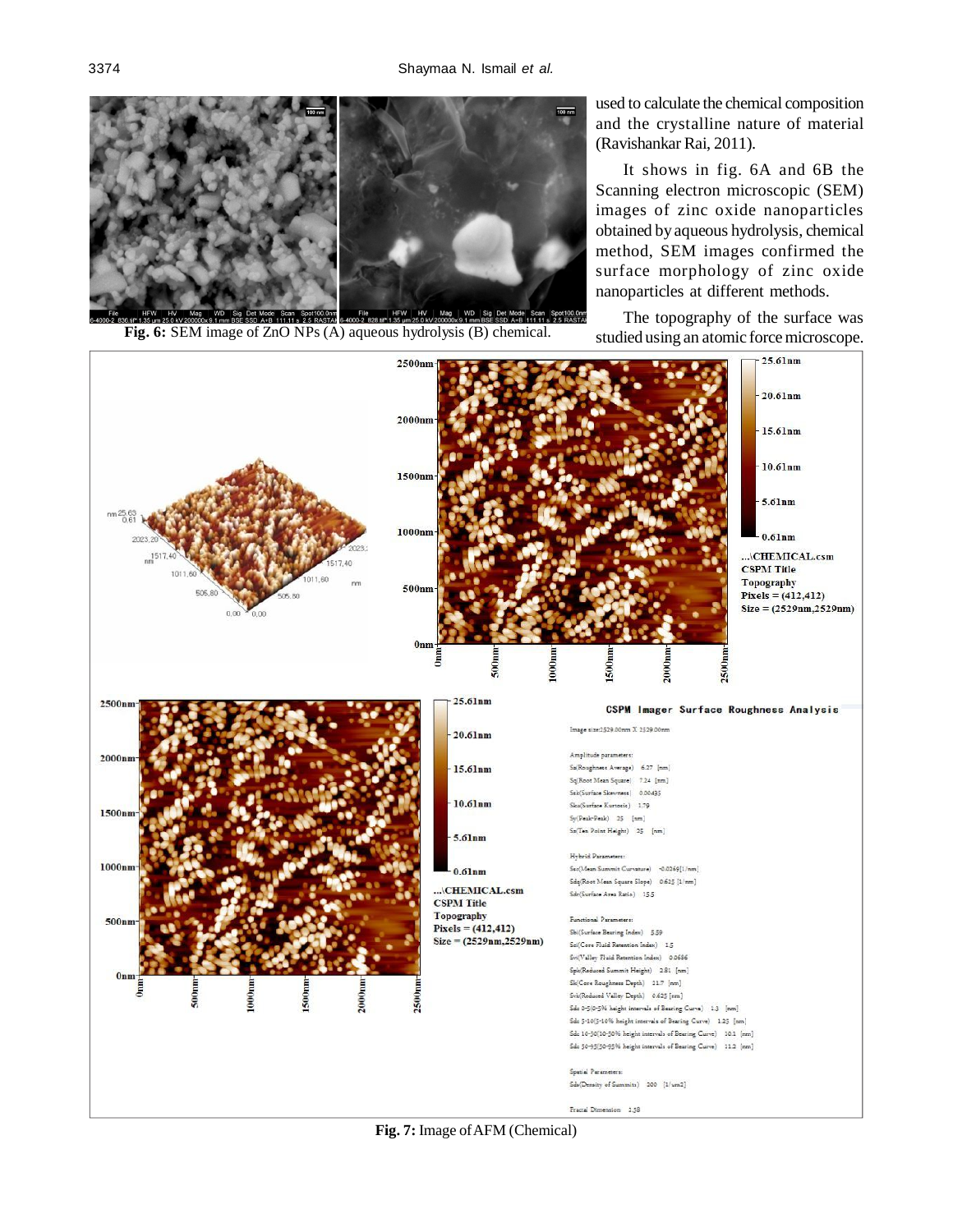

Fig. 6: SEM image of ZnO NPs (A) aqueous hydrolysis (B) chemical. studied using an atomic force microscope.

used to calculate the chemical composition and the crystalline nature of material (Ravishankar Rai, 2011).

It shows in fig. 6A and 6B the Scanning electron microscopic (SEM) images of zinc oxide nanoparticles obtained by aqueous hydrolysis, chemical method, SEM images confirmed the surface morphology of zinc oxide nanoparticles at different methods.

The topography of the surface was



**Fig. 7:** Image of AFM (Chemical)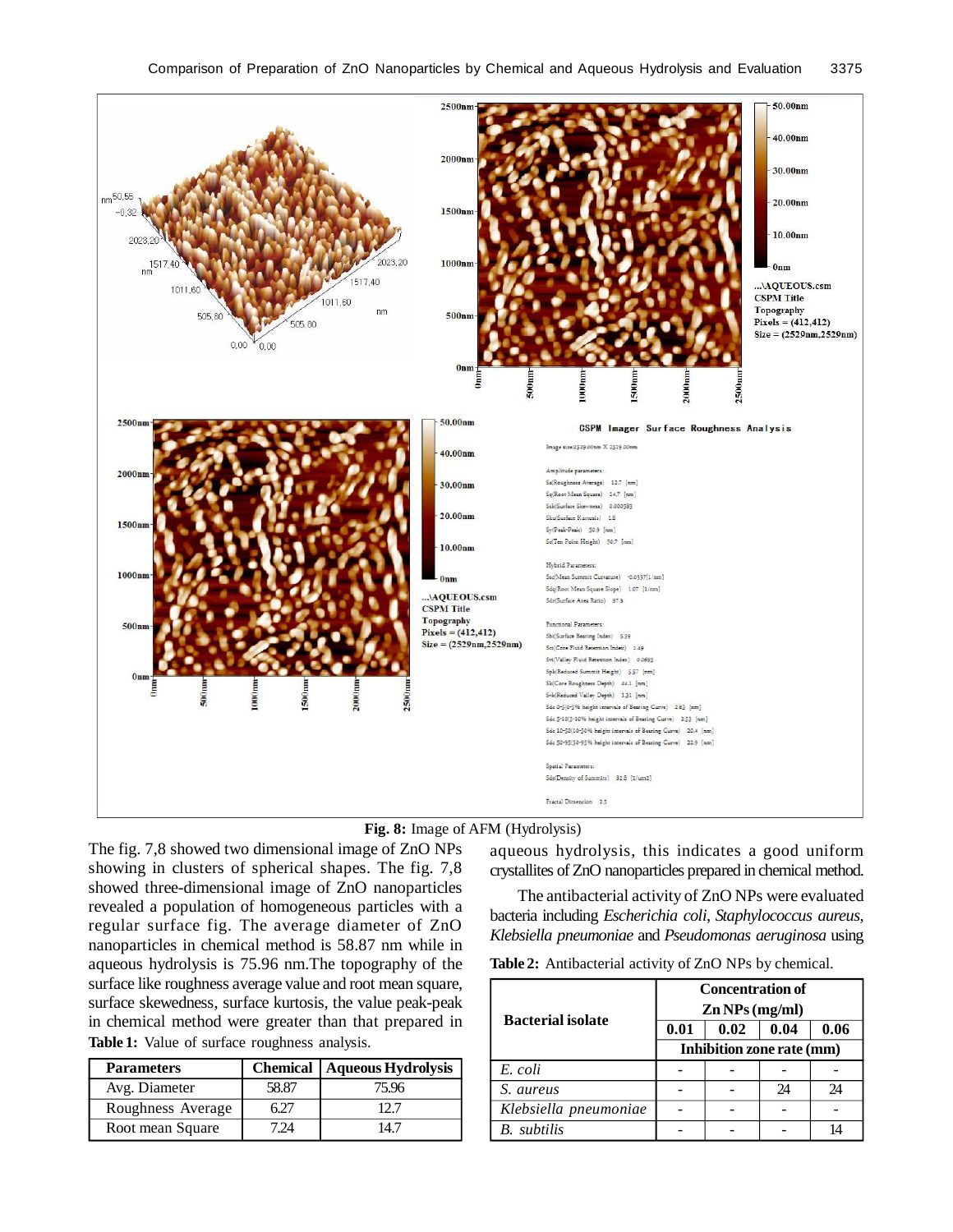



The fig. 7,8 showed two dimensional image of ZnO NPs showing in clusters of spherical shapes. The fig. 7,8 showed three-dimensional image of ZnO nanoparticles revealed a population of homogeneous particles with a regular surface fig. The average diameter of ZnO nanoparticles in chemical method is 58.87 nm while in aqueous hydrolysis is 75.96 nm.The topography of the surface like roughness average value and root mean square, surface skewedness, surface kurtosis, the value peak-peak in chemical method were greater than that prepared in **Table 1:** Value of surface roughness analysis.

| <b>Parameters</b> |       | <b>Chemical   Aqueous Hydrolysis</b> |
|-------------------|-------|--------------------------------------|
| Avg. Diameter     | 58.87 | 75.96                                |
| Roughness Average |       |                                      |
| Root mean Square  |       | 141                                  |

aqueous hydrolysis, this indicates a good uniform crystallites of ZnO nanoparticles prepared in chemical method.

The antibacterial activity of ZnO NPs were evaluated bacteria including *Escherichia coli*, *Staphylococcus aureus, Klebsiella pneumoniae* and *Pseudomonas aeruginosa* using

**Table 2:** Antibacterial activity of ZnO NPs by chemical.

| <b>Bacterial isolate</b> | <b>Concentration of</b><br>$\mathbf{Zn}$ NPs (mg/ml) |      |      |      |
|--------------------------|------------------------------------------------------|------|------|------|
|                          | 0.01                                                 | 0.02 | 0.04 | 0.06 |
|                          | Inhibition zone rate (mm)                            |      |      |      |
| E. coli                  |                                                      |      |      |      |
| S. aureus                |                                                      |      | 24   | 24   |
| Klebsiella pneumoniae    |                                                      |      |      |      |
| <b>B.</b> subtilis       |                                                      |      |      |      |